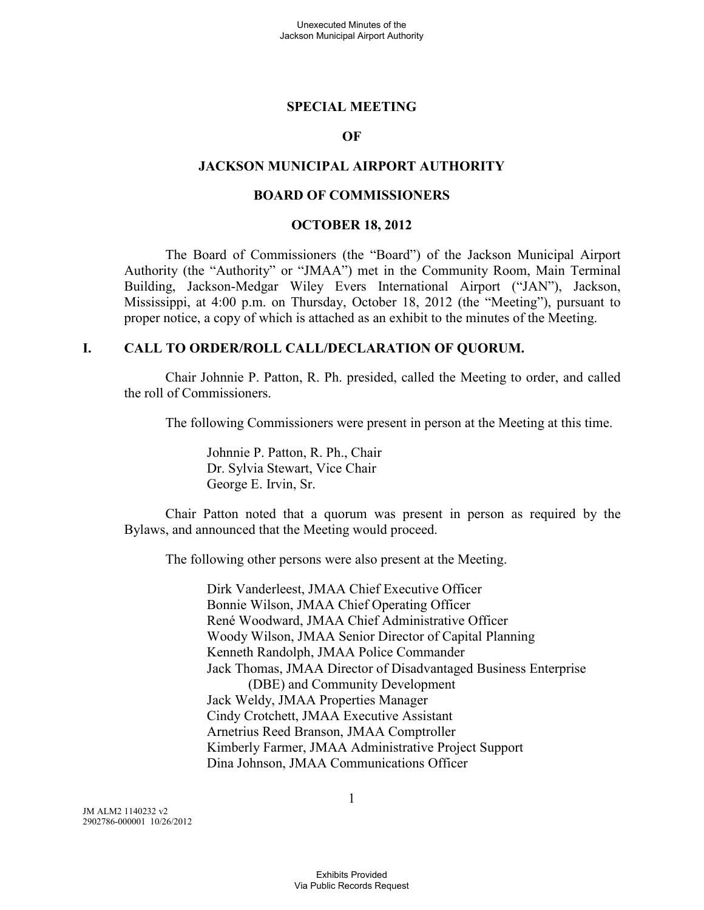#### **SPECIAL MEETING**

#### **OF**

### **JACKSON MUNICIPAL AIRPORT AUTHORITY**

#### **BOARD OF COMMISSIONERS**

#### **OCTOBER 18, 2012**

The Board of Commissioners (the "Board") of the Jackson Municipal Airport Authority (the "Authority" or "JMAA") met in the Community Room, Main Terminal Building, Jackson-Medgar Wiley Evers International Airport ("JAN"), Jackson, Mississippi, at 4:00 p.m. on Thursday, October 18, 2012 (the "Meeting"), pursuant to proper notice, a copy of which is attached as an exhibit to the minutes of the Meeting.

#### **I. CALL TO ORDER/ROLL CALL/DECLARATION OF QUORUM.**

Chair Johnnie P. Patton, R. Ph. presided, called the Meeting to order, and called the roll of Commissioners.

The following Commissioners were present in person at the Meeting at this time.

Johnnie P. Patton, R. Ph., Chair Dr. Sylvia Stewart, Vice Chair George E. Irvin, Sr.

Chair Patton noted that a quorum was present in person as required by the Bylaws, and announced that the Meeting would proceed.

The following other persons were also present at the Meeting.

Dirk Vanderleest, JMAA Chief Executive Officer Bonnie Wilson, JMAA Chief Operating Officer René Woodward, JMAA Chief Administrative Officer Woody Wilson, JMAA Senior Director of Capital Planning Kenneth Randolph, JMAA Police Commander Jack Thomas, JMAA Director of Disadvantaged Business Enterprise (DBE) and Community Development Jack Weldy, JMAA Properties Manager Cindy Crotchett, JMAA Executive Assistant Arnetrius Reed Branson, JMAA Comptroller Kimberly Farmer, JMAA Administrative Project Support Dina Johnson, JMAA Communications Officer

JM ALM2 1140232 v2 2902786-000001 10/26/2012 1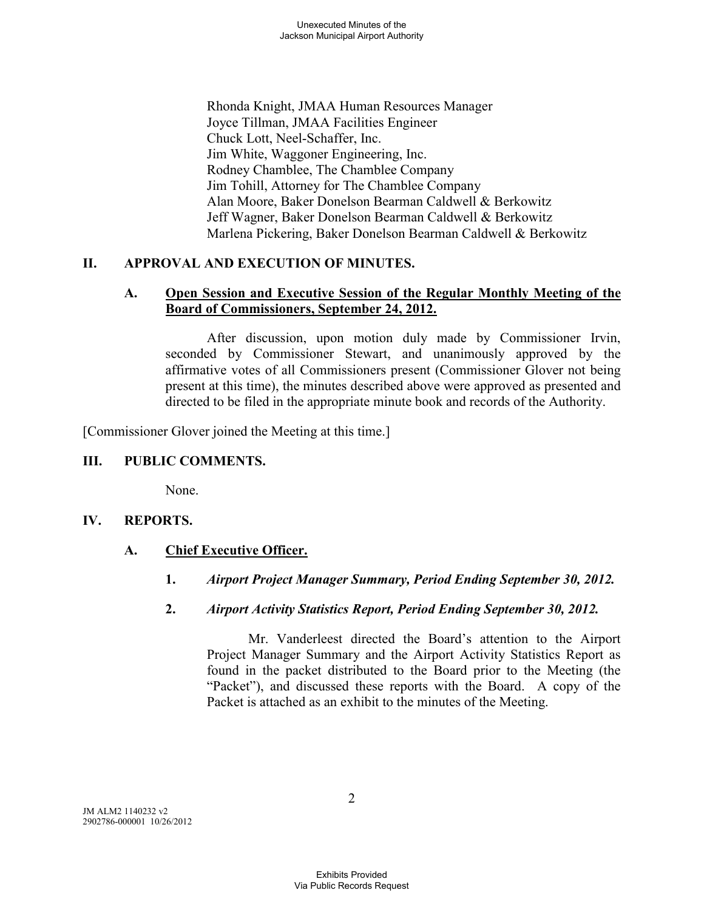Rhonda Knight, JMAA Human Resources Manager Joyce Tillman, JMAA Facilities Engineer Chuck Lott, Neel-Schaffer, Inc. Jim White, Waggoner Engineering, Inc. Rodney Chamblee, The Chamblee Company Jim Tohill, Attorney for The Chamblee Company Alan Moore, Baker Donelson Bearman Caldwell & Berkowitz Jeff Wagner, Baker Donelson Bearman Caldwell & Berkowitz Marlena Pickering, Baker Donelson Bearman Caldwell & Berkowitz

# **II. APPROVAL AND EXECUTION OF MINUTES.**

### **A. Open Session and Executive Session of the Regular Monthly Meeting of the Board of Commissioners, September 24, 2012.**

After discussion, upon motion duly made by Commissioner Irvin, seconded by Commissioner Stewart, and unanimously approved by the affirmative votes of all Commissioners present (Commissioner Glover not being present at this time), the minutes described above were approved as presented and directed to be filed in the appropriate minute book and records of the Authority.

[Commissioner Glover joined the Meeting at this time.]

## **III. PUBLIC COMMENTS.**

None.

### **IV. REPORTS.**

### **A. Chief Executive Officer.**

- **1.** *Airport Project Manager Summary, Period Ending September 30, 2012.*
- **2.** *Airport Activity Statistics Report, Period Ending September 30, 2012.*

Mr. Vanderleest directed the Board's attention to the Airport Project Manager Summary and the Airport Activity Statistics Report as found in the packet distributed to the Board prior to the Meeting (the "Packet"), and discussed these reports with the Board. A copy of the Packet is attached as an exhibit to the minutes of the Meeting.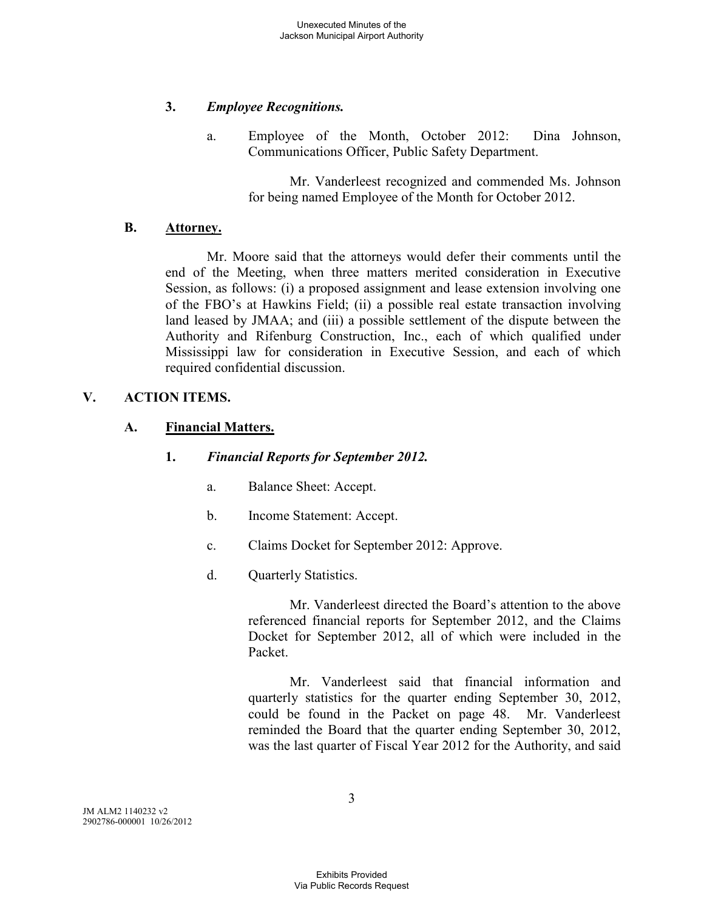## **3.** *Employee Recognitions.*

a. Employee of the Month, October 2012: Dina Johnson, Communications Officer, Public Safety Department.

> Mr. Vanderleest recognized and commended Ms. Johnson for being named Employee of the Month for October 2012.

## **B. Attorney.**

Mr. Moore said that the attorneys would defer their comments until the end of the Meeting, when three matters merited consideration in Executive Session, as follows: (i) a proposed assignment and lease extension involving one of the FBO's at Hawkins Field; (ii) a possible real estate transaction involving land leased by JMAA; and (iii) a possible settlement of the dispute between the Authority and Rifenburg Construction, Inc., each of which qualified under Mississippi law for consideration in Executive Session, and each of which required confidential discussion.

# **V. ACTION ITEMS.**

## **A. Financial Matters.**

### **1.** *Financial Reports for September 2012.*

- a. Balance Sheet: Accept.
- b. Income Statement: Accept.
- c. Claims Docket for September 2012: Approve.
- d. Quarterly Statistics.

Mr. Vanderleest directed the Board's attention to the above referenced financial reports for September 2012, and the Claims Docket for September 2012, all of which were included in the Packet.

Mr. Vanderleest said that financial information and quarterly statistics for the quarter ending September 30, 2012, could be found in the Packet on page 48. Mr. Vanderleest reminded the Board that the quarter ending September 30, 2012, was the last quarter of Fiscal Year 2012 for the Authority, and said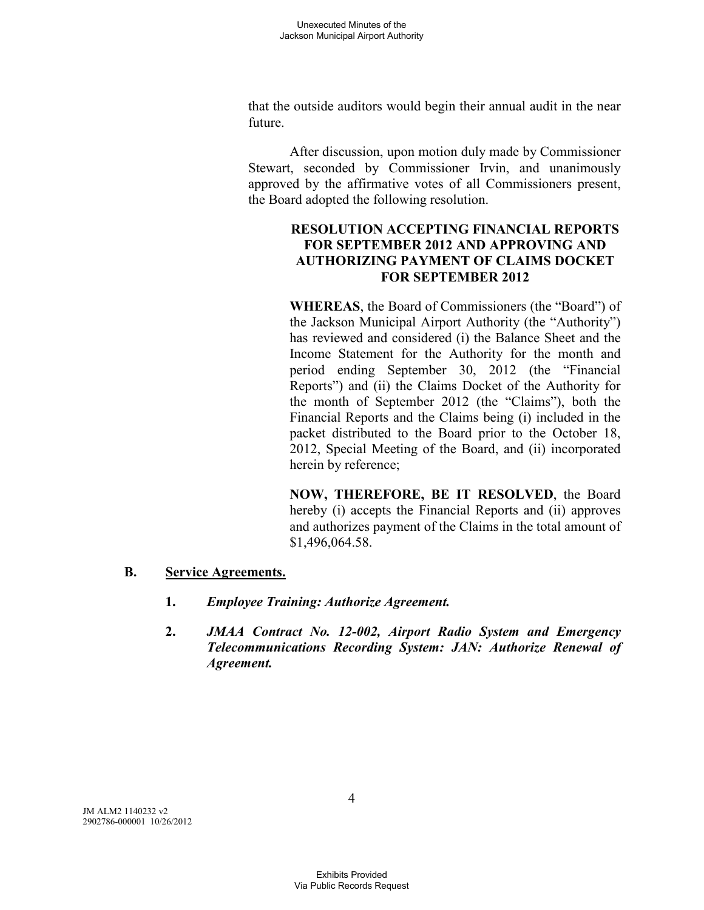that the outside auditors would begin their annual audit in the near future.

After discussion, upon motion duly made by Commissioner Stewart, seconded by Commissioner Irvin, and unanimously approved by the affirmative votes of all Commissioners present, the Board adopted the following resolution.

## **RESOLUTION ACCEPTING FINANCIAL REPORTS FOR SEPTEMBER 2012 AND APPROVING AND AUTHORIZING PAYMENT OF CLAIMS DOCKET FOR SEPTEMBER 2012**

**WHEREAS**, the Board of Commissioners (the "Board") of the Jackson Municipal Airport Authority (the "Authority") has reviewed and considered (i) the Balance Sheet and the Income Statement for the Authority for the month and period ending September 30, 2012 (the "Financial Reports") and (ii) the Claims Docket of the Authority for the month of September 2012 (the "Claims"), both the Financial Reports and the Claims being (i) included in the packet distributed to the Board prior to the October 18, 2012, Special Meeting of the Board, and (ii) incorporated herein by reference;

**NOW, THEREFORE, BE IT RESOLVED**, the Board hereby (i) accepts the Financial Reports and (ii) approves and authorizes payment of the Claims in the total amount of \$1,496,064.58.

### **B. Service Agreements.**

- **1.** *Employee Training: Authorize Agreement.*
- **2.** *JMAA Contract No. 12-002, Airport Radio System and Emergency Telecommunications Recording System: JAN: Authorize Renewal of Agreement.*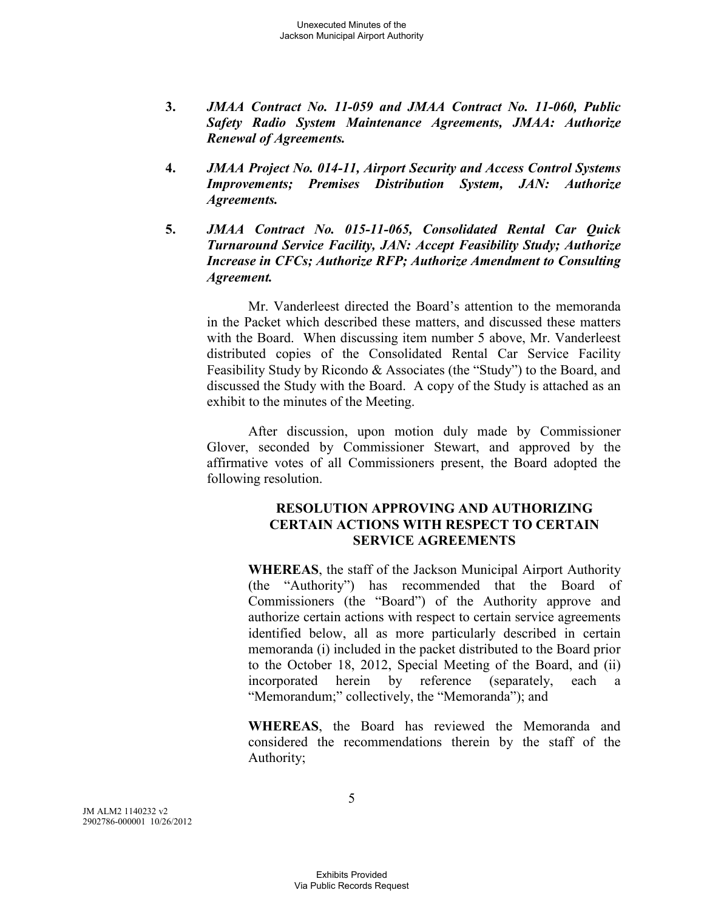- **3.** *JMAA Contract No. 11-059 and JMAA Contract No. 11-060, Public Safety Radio System Maintenance Agreements, JMAA: Authorize Renewal of Agreements.*
- **4.** *JMAA Project No. 014-11, Airport Security and Access Control Systems Improvements; Premises Distribution System, JAN: Authorize Agreements.*
- **5.** *JMAA Contract No. 015-11-065, Consolidated Rental Car Quick Turnaround Service Facility, JAN: Accept Feasibility Study; Authorize Increase in CFCs; Authorize RFP; Authorize Amendment to Consulting Agreement.*

Mr. Vanderleest directed the Board's attention to the memoranda in the Packet which described these matters, and discussed these matters with the Board. When discussing item number 5 above, Mr. Vanderleest distributed copies of the Consolidated Rental Car Service Facility Feasibility Study by Ricondo & Associates (the "Study") to the Board, and discussed the Study with the Board. A copy of the Study is attached as an exhibit to the minutes of the Meeting.

After discussion, upon motion duly made by Commissioner Glover, seconded by Commissioner Stewart, and approved by the affirmative votes of all Commissioners present, the Board adopted the following resolution.

### **RESOLUTION APPROVING AND AUTHORIZING CERTAIN ACTIONS WITH RESPECT TO CERTAIN SERVICE AGREEMENTS**

**WHEREAS**, the staff of the Jackson Municipal Airport Authority (the "Authority") has recommended that the Board of Commissioners (the "Board") of the Authority approve and authorize certain actions with respect to certain service agreements identified below, all as more particularly described in certain memoranda (i) included in the packet distributed to the Board prior to the October 18, 2012, Special Meeting of the Board, and (ii) incorporated herein by reference (separately, each a "Memorandum;" collectively, the "Memoranda"); and

**WHEREAS**, the Board has reviewed the Memoranda and considered the recommendations therein by the staff of the Authority;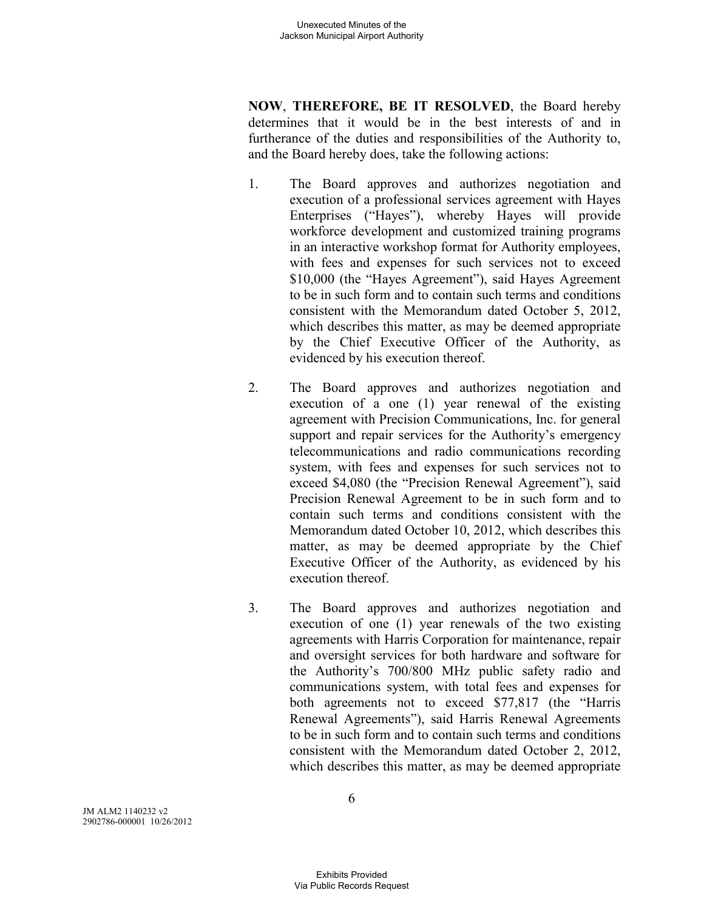**NOW**, **THEREFORE, BE IT RESOLVED**, the Board hereby determines that it would be in the best interests of and in furtherance of the duties and responsibilities of the Authority to, and the Board hereby does, take the following actions:

- 1. The Board approves and authorizes negotiation and execution of a professional services agreement with Hayes Enterprises ("Hayes"), whereby Hayes will provide workforce development and customized training programs in an interactive workshop format for Authority employees, with fees and expenses for such services not to exceed \$10,000 (the "Hayes Agreement"), said Hayes Agreement to be in such form and to contain such terms and conditions consistent with the Memorandum dated October 5, 2012, which describes this matter, as may be deemed appropriate by the Chief Executive Officer of the Authority, as evidenced by his execution thereof.
- 2. The Board approves and authorizes negotiation and execution of a one (1) year renewal of the existing agreement with Precision Communications, Inc. for general support and repair services for the Authority's emergency telecommunications and radio communications recording system, with fees and expenses for such services not to exceed \$4,080 (the "Precision Renewal Agreement"), said Precision Renewal Agreement to be in such form and to contain such terms and conditions consistent with the Memorandum dated October 10, 2012, which describes this matter, as may be deemed appropriate by the Chief Executive Officer of the Authority, as evidenced by his execution thereof.
- 3. The Board approves and authorizes negotiation and execution of one (1) year renewals of the two existing agreements with Harris Corporation for maintenance, repair and oversight services for both hardware and software for the Authority's 700/800 MHz public safety radio and communications system, with total fees and expenses for both agreements not to exceed \$77,817 (the "Harris Renewal Agreements"), said Harris Renewal Agreements to be in such form and to contain such terms and conditions consistent with the Memorandum dated October 2, 2012, which describes this matter, as may be deemed appropriate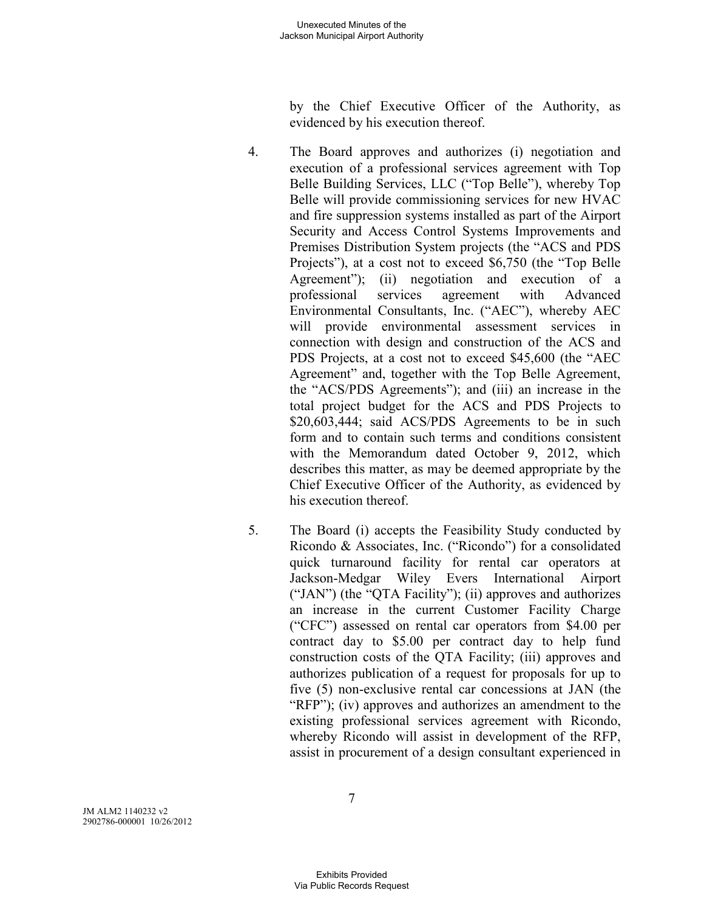by the Chief Executive Officer of the Authority, as evidenced by his execution thereof.

- 4. The Board approves and authorizes (i) negotiation and execution of a professional services agreement with Top Belle Building Services, LLC ("Top Belle"), whereby Top Belle will provide commissioning services for new HVAC and fire suppression systems installed as part of the Airport Security and Access Control Systems Improvements and Premises Distribution System projects (the "ACS and PDS Projects"), at a cost not to exceed \$6,750 (the "Top Belle Agreement"); (ii) negotiation and execution of a professional services agreement with Advanced Environmental Consultants, Inc. ("AEC"), whereby AEC will provide environmental assessment services in connection with design and construction of the ACS and PDS Projects, at a cost not to exceed \$45,600 (the "AEC Agreement" and, together with the Top Belle Agreement, the "ACS/PDS Agreements"); and (iii) an increase in the total project budget for the ACS and PDS Projects to \$20,603,444; said ACS/PDS Agreements to be in such form and to contain such terms and conditions consistent with the Memorandum dated October 9, 2012, which describes this matter, as may be deemed appropriate by the Chief Executive Officer of the Authority, as evidenced by his execution thereof.
- 5. The Board (i) accepts the Feasibility Study conducted by Ricondo & Associates, Inc. ("Ricondo") for a consolidated quick turnaround facility for rental car operators at Jackson-Medgar Wiley Evers International Airport ("JAN") (the "QTA Facility"); (ii) approves and authorizes an increase in the current Customer Facility Charge ("CFC") assessed on rental car operators from \$4.00 per contract day to \$5.00 per contract day to help fund construction costs of the QTA Facility; (iii) approves and authorizes publication of a request for proposals for up to five (5) non-exclusive rental car concessions at JAN (the "RFP"); (iv) approves and authorizes an amendment to the existing professional services agreement with Ricondo, whereby Ricondo will assist in development of the RFP, assist in procurement of a design consultant experienced in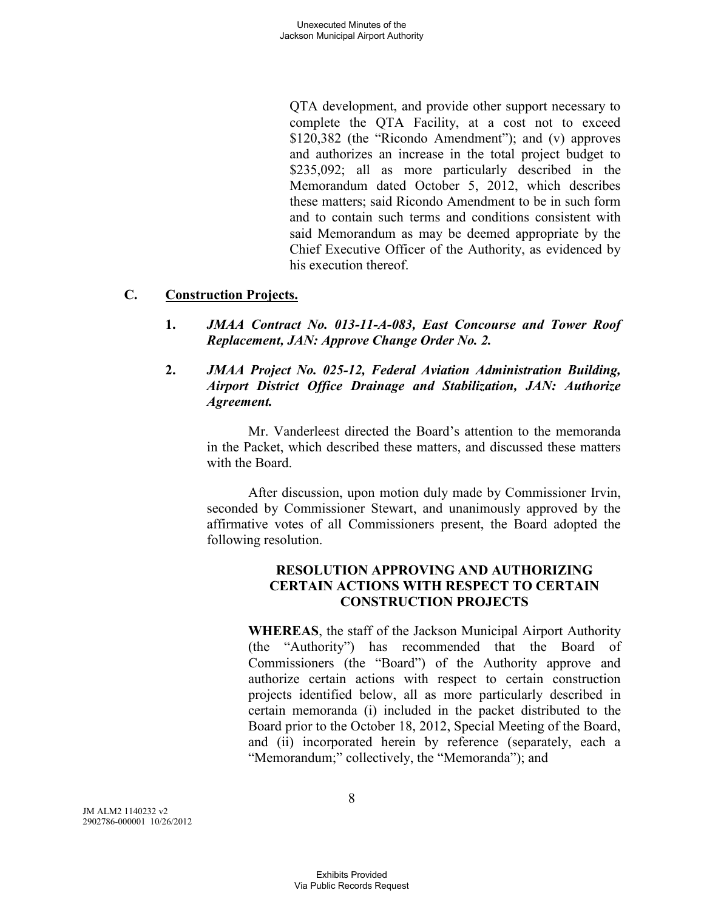QTA development, and provide other support necessary to complete the QTA Facility, at a cost not to exceed \$120,382 (the "Ricondo Amendment"); and (v) approves and authorizes an increase in the total project budget to \$235,092; all as more particularly described in the Memorandum dated October 5, 2012, which describes these matters; said Ricondo Amendment to be in such form and to contain such terms and conditions consistent with said Memorandum as may be deemed appropriate by the Chief Executive Officer of the Authority, as evidenced by his execution thereof.

## **C. Construction Projects.**

- **1.** *JMAA Contract No. 013-11-A-083, East Concourse and Tower Roof Replacement, JAN: Approve Change Order No. 2.*
- **2.** *JMAA Project No. 025-12, Federal Aviation Administration Building, Airport District Office Drainage and Stabilization, JAN: Authorize Agreement.*

Mr. Vanderleest directed the Board's attention to the memoranda in the Packet, which described these matters, and discussed these matters with the Board.

After discussion, upon motion duly made by Commissioner Irvin, seconded by Commissioner Stewart, and unanimously approved by the affirmative votes of all Commissioners present, the Board adopted the following resolution.

# **RESOLUTION APPROVING AND AUTHORIZING CERTAIN ACTIONS WITH RESPECT TO CERTAIN CONSTRUCTION PROJECTS**

**WHEREAS**, the staff of the Jackson Municipal Airport Authority (the "Authority") has recommended that the Board of Commissioners (the "Board") of the Authority approve and authorize certain actions with respect to certain construction projects identified below, all as more particularly described in certain memoranda (i) included in the packet distributed to the Board prior to the October 18, 2012, Special Meeting of the Board, and (ii) incorporated herein by reference (separately, each a "Memorandum;" collectively, the "Memoranda"); and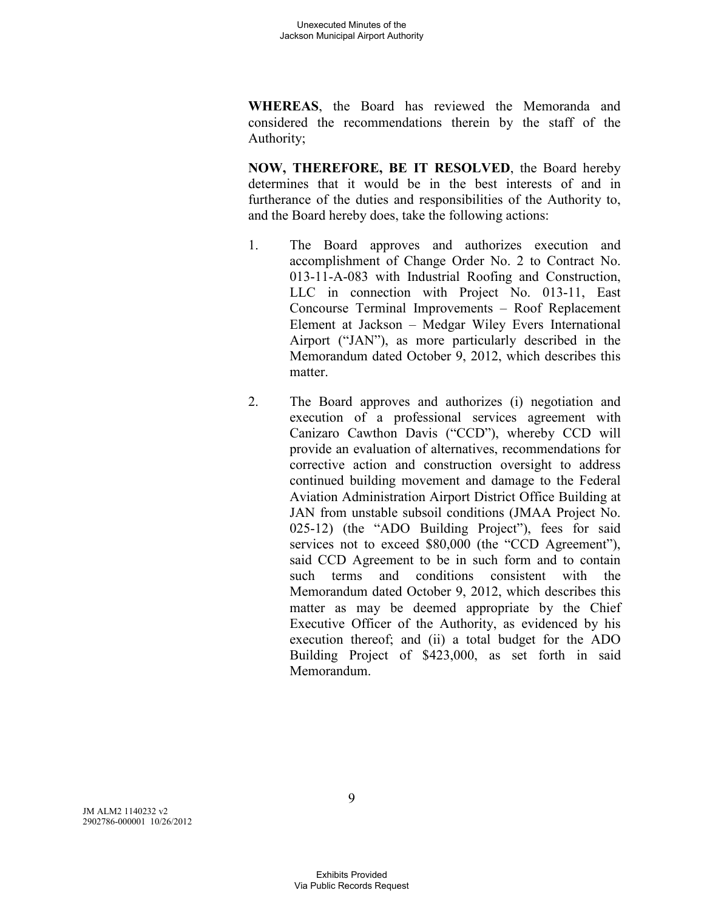**WHEREAS**, the Board has reviewed the Memoranda and considered the recommendations therein by the staff of the Authority;

**NOW, THEREFORE, BE IT RESOLVED**, the Board hereby determines that it would be in the best interests of and in furtherance of the duties and responsibilities of the Authority to, and the Board hereby does, take the following actions:

- 1. The Board approves and authorizes execution and accomplishment of Change Order No. 2 to Contract No. 013-11-A-083 with Industrial Roofing and Construction, LLC in connection with Project No. 013-11, East Concourse Terminal Improvements – Roof Replacement Element at Jackson – Medgar Wiley Evers International Airport ("JAN"), as more particularly described in the Memorandum dated October 9, 2012, which describes this matter.
- 2. The Board approves and authorizes (i) negotiation and execution of a professional services agreement with Canizaro Cawthon Davis ("CCD"), whereby CCD will provide an evaluation of alternatives, recommendations for corrective action and construction oversight to address continued building movement and damage to the Federal Aviation Administration Airport District Office Building at JAN from unstable subsoil conditions (JMAA Project No. 025-12) (the "ADO Building Project"), fees for said services not to exceed \$80,000 (the "CCD Agreement"), said CCD Agreement to be in such form and to contain such terms and conditions consistent with the Memorandum dated October 9, 2012, which describes this matter as may be deemed appropriate by the Chief Executive Officer of the Authority, as evidenced by his execution thereof; and (ii) a total budget for the ADO Building Project of \$423,000, as set forth in said Memorandum.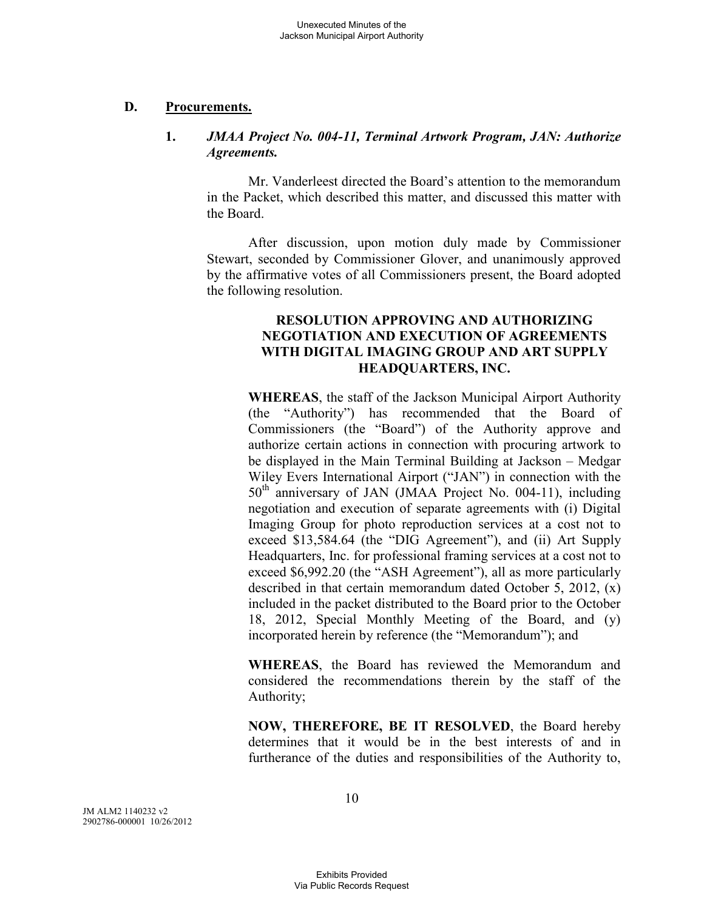#### **D. Procurements.**

### **1.** *JMAA Project No. 004-11, Terminal Artwork Program, JAN: Authorize Agreements.*

Mr. Vanderleest directed the Board's attention to the memorandum in the Packet, which described this matter, and discussed this matter with the Board.

After discussion, upon motion duly made by Commissioner Stewart, seconded by Commissioner Glover, and unanimously approved by the affirmative votes of all Commissioners present, the Board adopted the following resolution.

### **RESOLUTION APPROVING AND AUTHORIZING NEGOTIATION AND EXECUTION OF AGREEMENTS WITH DIGITAL IMAGING GROUP AND ART SUPPLY HEADQUARTERS, INC.**

**WHEREAS**, the staff of the Jackson Municipal Airport Authority (the "Authority") has recommended that the Board of Commissioners (the "Board") of the Authority approve and authorize certain actions in connection with procuring artwork to be displayed in the Main Terminal Building at Jackson – Medgar Wiley Evers International Airport ("JAN") in connection with the 50<sup>th</sup> anniversary of JAN (JMAA Project No. 004-11), including negotiation and execution of separate agreements with (i) Digital Imaging Group for photo reproduction services at a cost not to exceed \$13,584.64 (the "DIG Agreement"), and (ii) Art Supply Headquarters, Inc. for professional framing services at a cost not to exceed \$6,992.20 (the "ASH Agreement"), all as more particularly described in that certain memorandum dated October 5, 2012, (x) included in the packet distributed to the Board prior to the October 18, 2012, Special Monthly Meeting of the Board, and (y) incorporated herein by reference (the "Memorandum"); and

**WHEREAS**, the Board has reviewed the Memorandum and considered the recommendations therein by the staff of the Authority;

**NOW, THEREFORE, BE IT RESOLVED**, the Board hereby determines that it would be in the best interests of and in furtherance of the duties and responsibilities of the Authority to,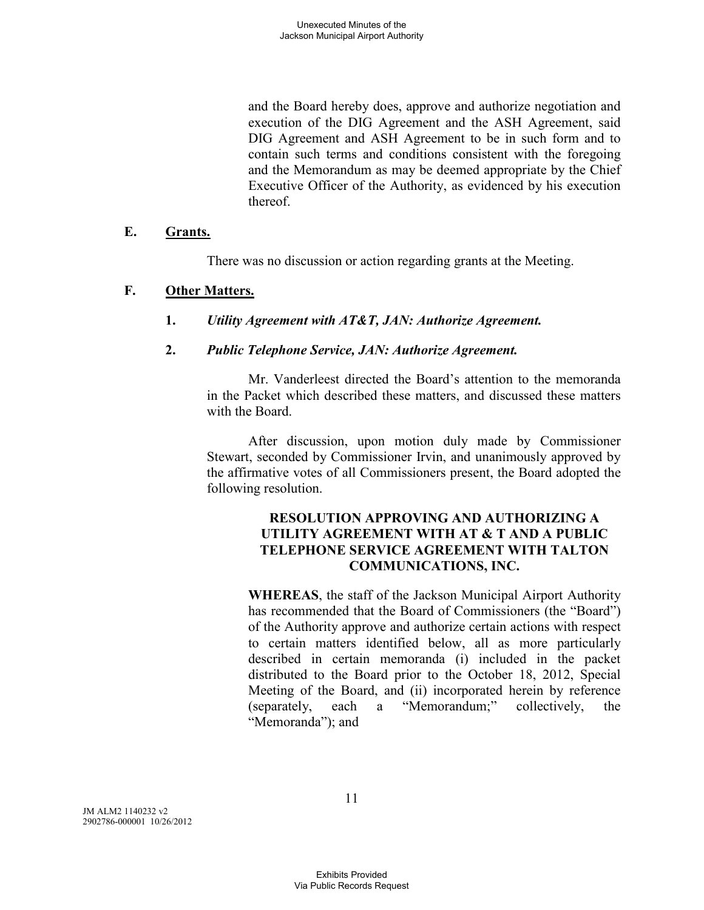and the Board hereby does, approve and authorize negotiation and execution of the DIG Agreement and the ASH Agreement, said DIG Agreement and ASH Agreement to be in such form and to contain such terms and conditions consistent with the foregoing and the Memorandum as may be deemed appropriate by the Chief Executive Officer of the Authority, as evidenced by his execution thereof.

### **E. Grants.**

There was no discussion or action regarding grants at the Meeting.

## **F. Other Matters.**

**1.** *Utility Agreement with AT&T, JAN: Authorize Agreement.* 

## **2.** *Public Telephone Service, JAN: Authorize Agreement.*

Mr. Vanderleest directed the Board's attention to the memoranda in the Packet which described these matters, and discussed these matters with the Board.

After discussion, upon motion duly made by Commissioner Stewart, seconded by Commissioner Irvin, and unanimously approved by the affirmative votes of all Commissioners present, the Board adopted the following resolution.

## **RESOLUTION APPROVING AND AUTHORIZING A UTILITY AGREEMENT WITH AT & T AND A PUBLIC TELEPHONE SERVICE AGREEMENT WITH TALTON COMMUNICATIONS, INC.**

**WHEREAS**, the staff of the Jackson Municipal Airport Authority has recommended that the Board of Commissioners (the "Board") of the Authority approve and authorize certain actions with respect to certain matters identified below, all as more particularly described in certain memoranda (i) included in the packet distributed to the Board prior to the October 18, 2012, Special Meeting of the Board, and (ii) incorporated herein by reference (separately, each a "Memorandum;" collectively, the "Memoranda"); and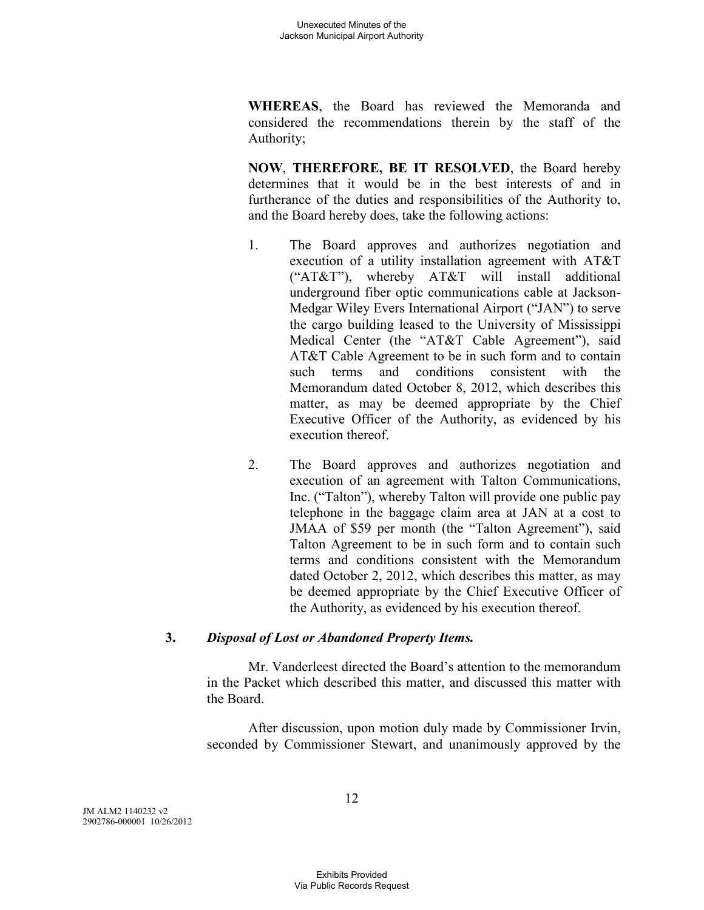**WHEREAS**, the Board has reviewed the Memoranda and considered the recommendations therein by the staff of the Authority;

**NOW**, **THEREFORE, BE IT RESOLVED**, the Board hereby determines that it would be in the best interests of and in furtherance of the duties and responsibilities of the Authority to, and the Board hereby does, take the following actions:

- 1. The Board approves and authorizes negotiation and execution of a utility installation agreement with AT&T ("AT&T"), whereby AT&T will install additional underground fiber optic communications cable at Jackson-Medgar Wiley Evers International Airport ("JAN") to serve the cargo building leased to the University of Mississippi Medical Center (the "AT&T Cable Agreement"), said AT&T Cable Agreement to be in such form and to contain such terms and conditions consistent with the Memorandum dated October 8, 2012, which describes this matter, as may be deemed appropriate by the Chief Executive Officer of the Authority, as evidenced by his execution thereof.
- 2. The Board approves and authorizes negotiation and execution of an agreement with Talton Communications, Inc. ("Talton"), whereby Talton will provide one public pay telephone in the baggage claim area at JAN at a cost to JMAA of \$59 per month (the "Talton Agreement"), said Talton Agreement to be in such form and to contain such terms and conditions consistent with the Memorandum dated October 2, 2012, which describes this matter, as may be deemed appropriate by the Chief Executive Officer of the Authority, as evidenced by his execution thereof.

### **3.** *Disposal of Lost or Abandoned Property Items.*

Mr. Vanderleest directed the Board's attention to the memorandum in the Packet which described this matter, and discussed this matter with the Board.

After discussion, upon motion duly made by Commissioner Irvin, seconded by Commissioner Stewart, and unanimously approved by the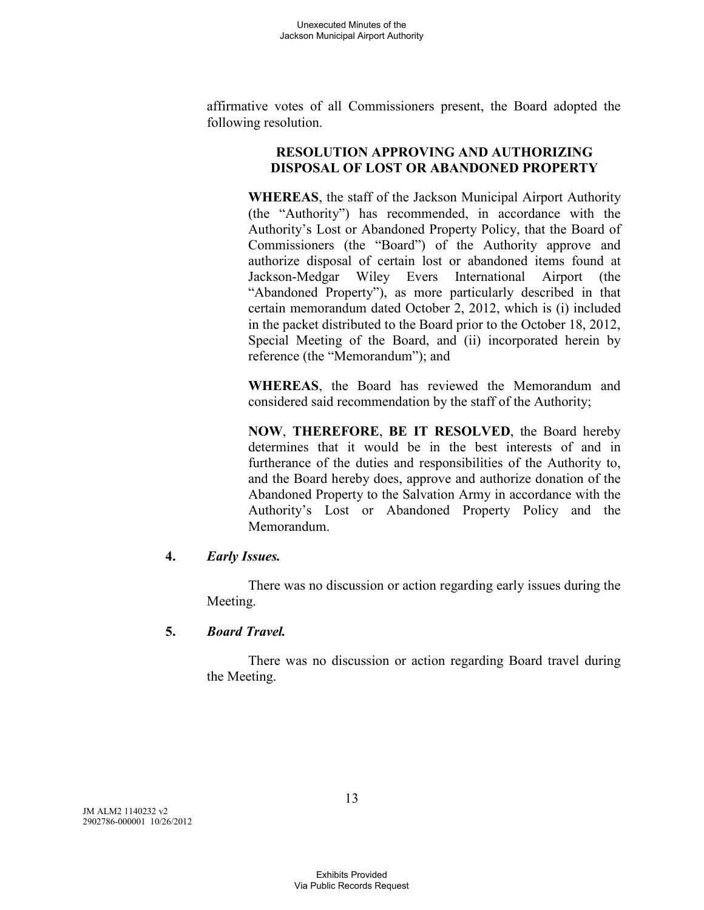affirmative votes of all Commissioners present, the Board adopted the following resolution.

### **RESOLUTION APPROVING AND AUTHORIZING DISPOSAL OF LOST OR ABANDONED PROPERTY**

**WHEREAS**, the staff of the Jackson Municipal Airport Authority (the "Authority") has recommended, in accordance with the Authority's Lost or Abandoned Property Policy, that the Board of Commissioners (the "Board") of the Authority approve and authorize disposal of certain lost or abandoned items found at Jackson-Medgar Wiley Evers International Airport (the "Abandoned Property"), as more particularly described in that certain memorandum dated October 2, 2012, which is (i) included in the packet distributed to the Board prior to the October 18, 2012, Special Meeting of the Board, and (ii) incorporated herein by reference (the "Memorandum"); and

**WHEREAS**, the Board has reviewed the Memorandum and considered said recommendation by the staff of the Authority;

**NOW**, **THEREFORE**, **BE IT RESOLVED**, the Board hereby determines that it would be in the best interests of and in furtherance of the duties and responsibilities of the Authority to, and the Board hereby does, approve and authorize donation of the Abandoned Property to the Salvation Army in accordance with the Authority's Lost or Abandoned Property Policy and the Memorandum.

### **4.** *Early Issues.*

There was no discussion or action regarding early issues during the Meeting.

### **5.** *Board Travel.*

There was no discussion or action regarding Board travel during the Meeting.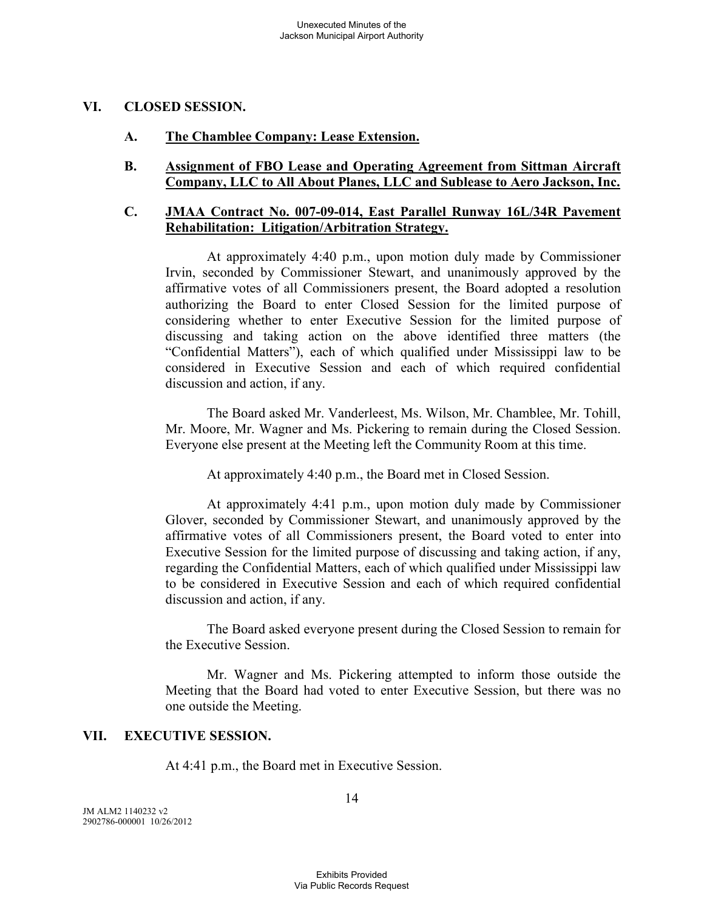### **VI. CLOSED SESSION.**

### **A. The Chamblee Company: Lease Extension.**

### **B. Assignment of FBO Lease and Operating Agreement from Sittman Aircraft Company, LLC to All About Planes, LLC and Sublease to Aero Jackson, Inc.**

### **C. JMAA Contract No. 007-09-014, East Parallel Runway 16L/34R Pavement Rehabilitation: Litigation/Arbitration Strategy.**

At approximately 4:40 p.m., upon motion duly made by Commissioner Irvin, seconded by Commissioner Stewart, and unanimously approved by the affirmative votes of all Commissioners present, the Board adopted a resolution authorizing the Board to enter Closed Session for the limited purpose of considering whether to enter Executive Session for the limited purpose of discussing and taking action on the above identified three matters (the "Confidential Matters"), each of which qualified under Mississippi law to be considered in Executive Session and each of which required confidential discussion and action, if any.

The Board asked Mr. Vanderleest, Ms. Wilson, Mr. Chamblee, Mr. Tohill, Mr. Moore, Mr. Wagner and Ms. Pickering to remain during the Closed Session. Everyone else present at the Meeting left the Community Room at this time.

At approximately 4:40 p.m., the Board met in Closed Session.

At approximately 4:41 p.m., upon motion duly made by Commissioner Glover, seconded by Commissioner Stewart, and unanimously approved by the affirmative votes of all Commissioners present, the Board voted to enter into Executive Session for the limited purpose of discussing and taking action, if any, regarding the Confidential Matters, each of which qualified under Mississippi law to be considered in Executive Session and each of which required confidential discussion and action, if any.

The Board asked everyone present during the Closed Session to remain for the Executive Session.

Mr. Wagner and Ms. Pickering attempted to inform those outside the Meeting that the Board had voted to enter Executive Session, but there was no one outside the Meeting.

### **VII. EXECUTIVE SESSION.**

At 4:41 p.m., the Board met in Executive Session.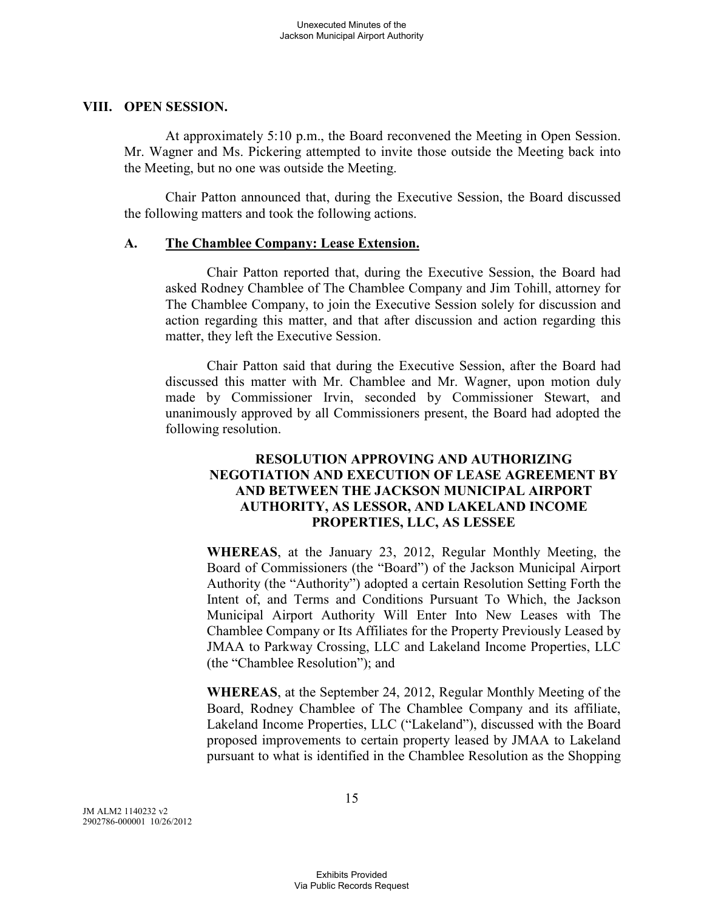#### **VIII. OPEN SESSION.**

At approximately 5:10 p.m., the Board reconvened the Meeting in Open Session. Mr. Wagner and Ms. Pickering attempted to invite those outside the Meeting back into the Meeting, but no one was outside the Meeting.

Chair Patton announced that, during the Executive Session, the Board discussed the following matters and took the following actions.

### **A. The Chamblee Company: Lease Extension.**

Chair Patton reported that, during the Executive Session, the Board had asked Rodney Chamblee of The Chamblee Company and Jim Tohill, attorney for The Chamblee Company, to join the Executive Session solely for discussion and action regarding this matter, and that after discussion and action regarding this matter, they left the Executive Session.

Chair Patton said that during the Executive Session, after the Board had discussed this matter with Mr. Chamblee and Mr. Wagner, upon motion duly made by Commissioner Irvin, seconded by Commissioner Stewart, and unanimously approved by all Commissioners present, the Board had adopted the following resolution.

## **RESOLUTION APPROVING AND AUTHORIZING NEGOTIATION AND EXECUTION OF LEASE AGREEMENT BY AND BETWEEN THE JACKSON MUNICIPAL AIRPORT AUTHORITY, AS LESSOR, AND LAKELAND INCOME PROPERTIES, LLC, AS LESSEE**

**WHEREAS**, at the January 23, 2012, Regular Monthly Meeting, the Board of Commissioners (the "Board") of the Jackson Municipal Airport Authority (the "Authority") adopted a certain Resolution Setting Forth the Intent of, and Terms and Conditions Pursuant To Which, the Jackson Municipal Airport Authority Will Enter Into New Leases with The Chamblee Company or Its Affiliates for the Property Previously Leased by JMAA to Parkway Crossing, LLC and Lakeland Income Properties, LLC (the "Chamblee Resolution"); and

**WHEREAS**, at the September 24, 2012, Regular Monthly Meeting of the Board, Rodney Chamblee of The Chamblee Company and its affiliate, Lakeland Income Properties, LLC ("Lakeland"), discussed with the Board proposed improvements to certain property leased by JMAA to Lakeland pursuant to what is identified in the Chamblee Resolution as the Shopping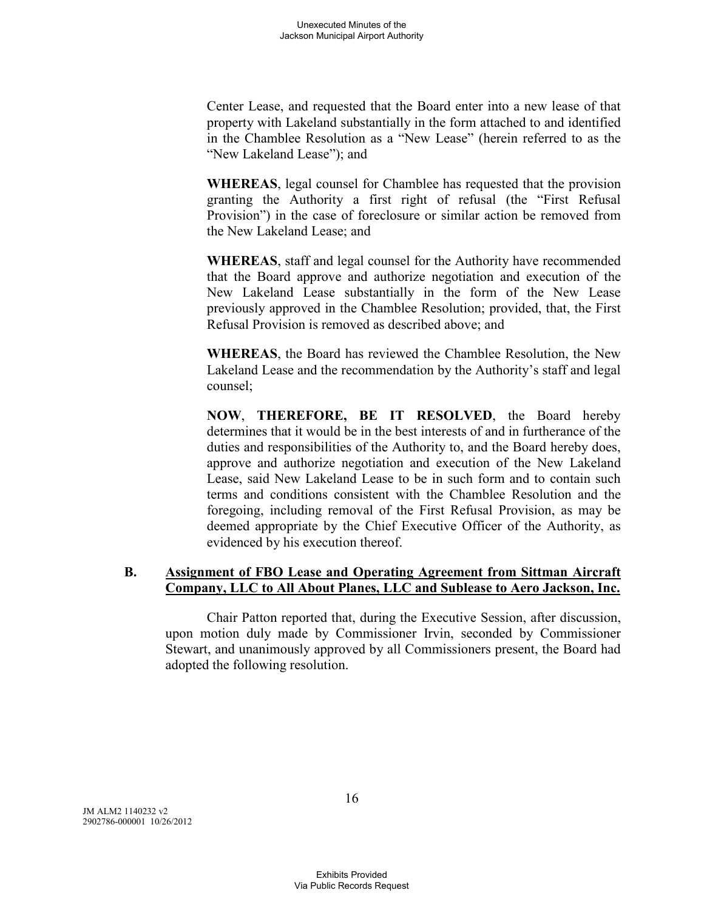Center Lease, and requested that the Board enter into a new lease of that property with Lakeland substantially in the form attached to and identified in the Chamblee Resolution as a "New Lease" (herein referred to as the "New Lakeland Lease"); and

**WHEREAS**, legal counsel for Chamblee has requested that the provision granting the Authority a first right of refusal (the "First Refusal Provision") in the case of foreclosure or similar action be removed from the New Lakeland Lease; and

**WHEREAS**, staff and legal counsel for the Authority have recommended that the Board approve and authorize negotiation and execution of the New Lakeland Lease substantially in the form of the New Lease previously approved in the Chamblee Resolution; provided, that, the First Refusal Provision is removed as described above; and

**WHEREAS**, the Board has reviewed the Chamblee Resolution, the New Lakeland Lease and the recommendation by the Authority's staff and legal counsel;

**NOW**, **THEREFORE, BE IT RESOLVED**, the Board hereby determines that it would be in the best interests of and in furtherance of the duties and responsibilities of the Authority to, and the Board hereby does, approve and authorize negotiation and execution of the New Lakeland Lease, said New Lakeland Lease to be in such form and to contain such terms and conditions consistent with the Chamblee Resolution and the foregoing, including removal of the First Refusal Provision, as may be deemed appropriate by the Chief Executive Officer of the Authority, as evidenced by his execution thereof.

## **B. Assignment of FBO Lease and Operating Agreement from Sittman Aircraft Company, LLC to All About Planes, LLC and Sublease to Aero Jackson, Inc.**

Chair Patton reported that, during the Executive Session, after discussion, upon motion duly made by Commissioner Irvin, seconded by Commissioner Stewart, and unanimously approved by all Commissioners present, the Board had adopted the following resolution.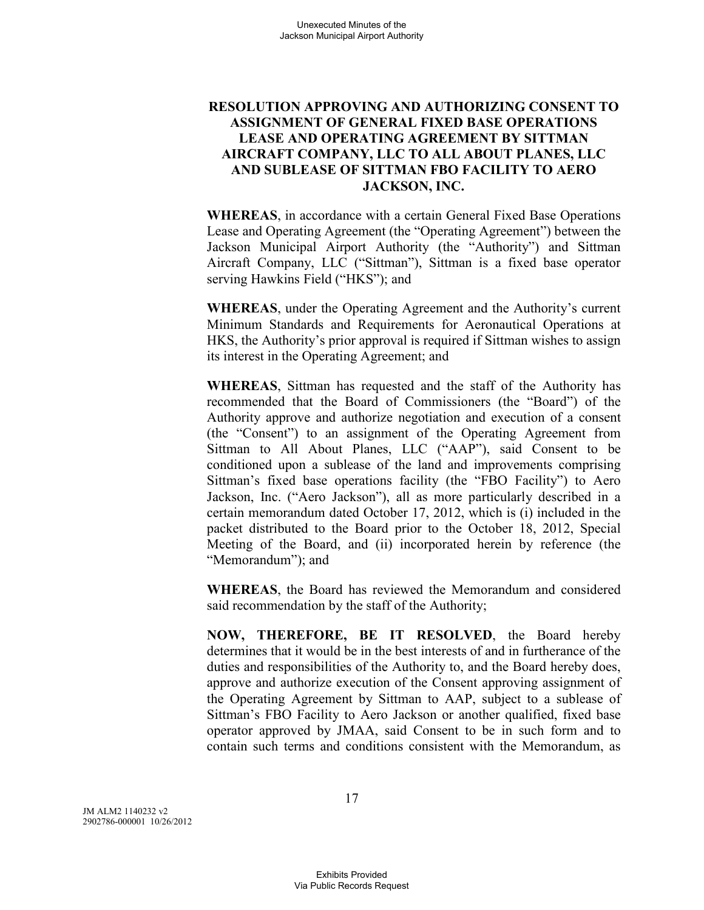## **RESOLUTION APPROVING AND AUTHORIZING CONSENT TO ASSIGNMENT OF GENERAL FIXED BASE OPERATIONS LEASE AND OPERATING AGREEMENT BY SITTMAN AIRCRAFT COMPANY, LLC TO ALL ABOUT PLANES, LLC AND SUBLEASE OF SITTMAN FBO FACILITY TO AERO JACKSON, INC.**

**WHEREAS**, in accordance with a certain General Fixed Base Operations Lease and Operating Agreement (the "Operating Agreement") between the Jackson Municipal Airport Authority (the "Authority") and Sittman Aircraft Company, LLC ("Sittman"), Sittman is a fixed base operator serving Hawkins Field ("HKS"); and

**WHEREAS**, under the Operating Agreement and the Authority's current Minimum Standards and Requirements for Aeronautical Operations at HKS, the Authority's prior approval is required if Sittman wishes to assign its interest in the Operating Agreement; and

**WHEREAS**, Sittman has requested and the staff of the Authority has recommended that the Board of Commissioners (the "Board") of the Authority approve and authorize negotiation and execution of a consent (the "Consent") to an assignment of the Operating Agreement from Sittman to All About Planes, LLC ("AAP"), said Consent to be conditioned upon a sublease of the land and improvements comprising Sittman's fixed base operations facility (the "FBO Facility") to Aero Jackson, Inc. ("Aero Jackson"), all as more particularly described in a certain memorandum dated October 17, 2012, which is (i) included in the packet distributed to the Board prior to the October 18, 2012, Special Meeting of the Board, and (ii) incorporated herein by reference (the "Memorandum"); and

**WHEREAS**, the Board has reviewed the Memorandum and considered said recommendation by the staff of the Authority;

**NOW, THEREFORE, BE IT RESOLVED**, the Board hereby determines that it would be in the best interests of and in furtherance of the duties and responsibilities of the Authority to, and the Board hereby does, approve and authorize execution of the Consent approving assignment of the Operating Agreement by Sittman to AAP, subject to a sublease of Sittman's FBO Facility to Aero Jackson or another qualified, fixed base operator approved by JMAA, said Consent to be in such form and to contain such terms and conditions consistent with the Memorandum, as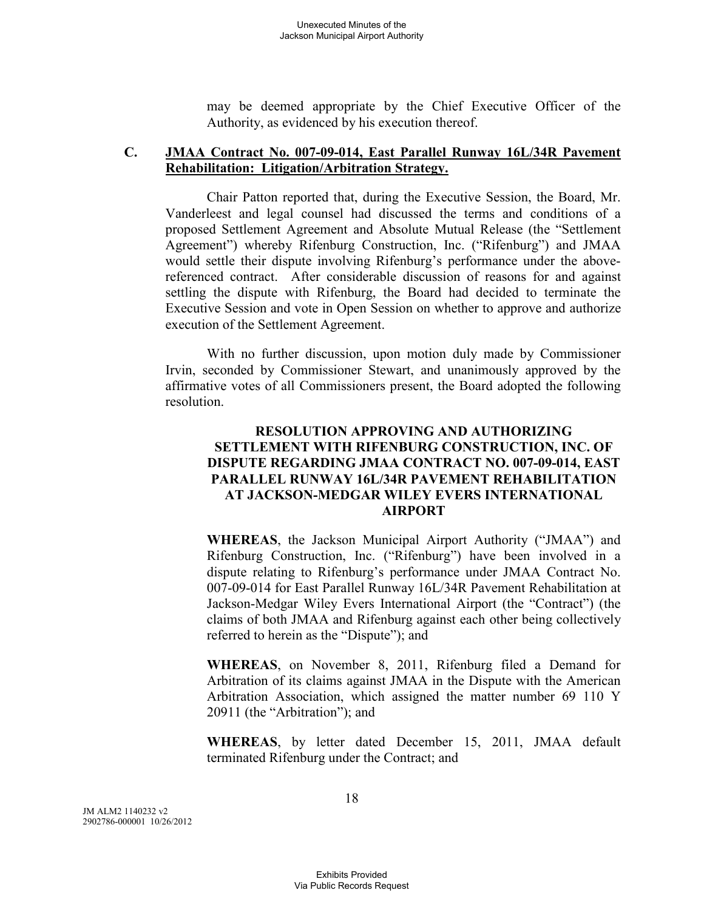may be deemed appropriate by the Chief Executive Officer of the Authority, as evidenced by his execution thereof.

### **C. JMAA Contract No. 007-09-014, East Parallel Runway 16L/34R Pavement Rehabilitation: Litigation/Arbitration Strategy.**

Chair Patton reported that, during the Executive Session, the Board, Mr. Vanderleest and legal counsel had discussed the terms and conditions of a proposed Settlement Agreement and Absolute Mutual Release (the "Settlement Agreement") whereby Rifenburg Construction, Inc. ("Rifenburg") and JMAA would settle their dispute involving Rifenburg's performance under the abovereferenced contract. After considerable discussion of reasons for and against settling the dispute with Rifenburg, the Board had decided to terminate the Executive Session and vote in Open Session on whether to approve and authorize execution of the Settlement Agreement.

With no further discussion, upon motion duly made by Commissioner Irvin, seconded by Commissioner Stewart, and unanimously approved by the affirmative votes of all Commissioners present, the Board adopted the following resolution.

### **RESOLUTION APPROVING AND AUTHORIZING SETTLEMENT WITH RIFENBURG CONSTRUCTION, INC. OF DISPUTE REGARDING JMAA CONTRACT NO. 007-09-014, EAST PARALLEL RUNWAY 16L/34R PAVEMENT REHABILITATION AT JACKSON-MEDGAR WILEY EVERS INTERNATIONAL AIRPORT**

**WHEREAS**, the Jackson Municipal Airport Authority ("JMAA") and Rifenburg Construction, Inc. ("Rifenburg") have been involved in a dispute relating to Rifenburg's performance under JMAA Contract No. 007-09-014 for East Parallel Runway 16L/34R Pavement Rehabilitation at Jackson-Medgar Wiley Evers International Airport (the "Contract") (the claims of both JMAA and Rifenburg against each other being collectively referred to herein as the "Dispute"); and

**WHEREAS**, on November 8, 2011, Rifenburg filed a Demand for Arbitration of its claims against JMAA in the Dispute with the American Arbitration Association, which assigned the matter number 69 110 Y 20911 (the "Arbitration"); and

**WHEREAS**, by letter dated December 15, 2011, JMAA default terminated Rifenburg under the Contract; and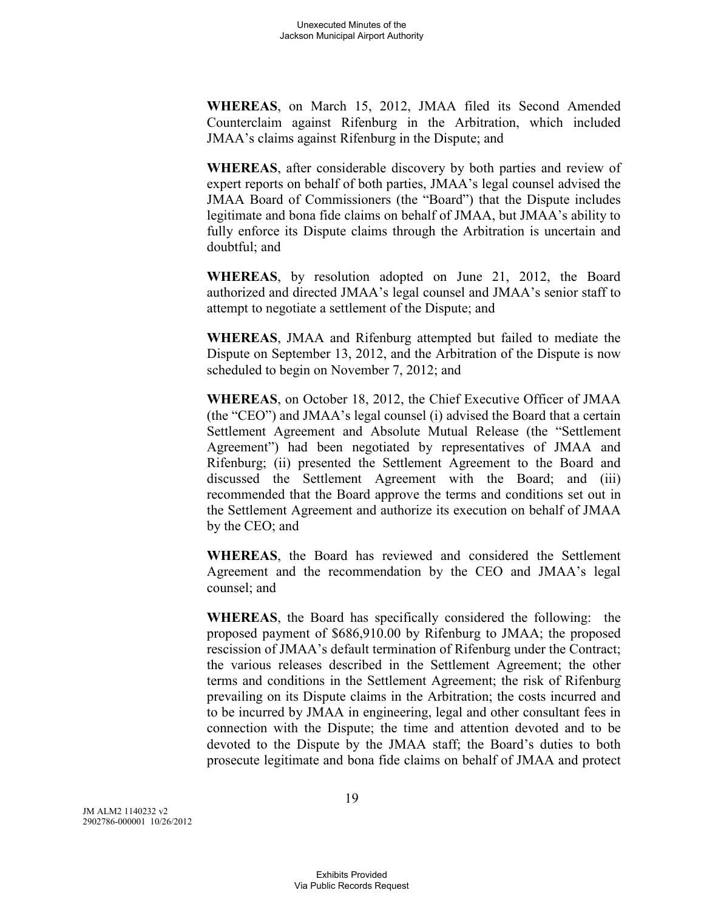**WHEREAS**, on March 15, 2012, JMAA filed its Second Amended Counterclaim against Rifenburg in the Arbitration, which included JMAA's claims against Rifenburg in the Dispute; and

**WHEREAS**, after considerable discovery by both parties and review of expert reports on behalf of both parties, JMAA's legal counsel advised the JMAA Board of Commissioners (the "Board") that the Dispute includes legitimate and bona fide claims on behalf of JMAA, but JMAA's ability to fully enforce its Dispute claims through the Arbitration is uncertain and doubtful; and

**WHEREAS**, by resolution adopted on June 21, 2012, the Board authorized and directed JMAA's legal counsel and JMAA's senior staff to attempt to negotiate a settlement of the Dispute; and

**WHEREAS**, JMAA and Rifenburg attempted but failed to mediate the Dispute on September 13, 2012, and the Arbitration of the Dispute is now scheduled to begin on November 7, 2012; and

**WHEREAS**, on October 18, 2012, the Chief Executive Officer of JMAA (the "CEO") and JMAA's legal counsel (i) advised the Board that a certain Settlement Agreement and Absolute Mutual Release (the "Settlement Agreement") had been negotiated by representatives of JMAA and Rifenburg; (ii) presented the Settlement Agreement to the Board and discussed the Settlement Agreement with the Board; and (iii) recommended that the Board approve the terms and conditions set out in the Settlement Agreement and authorize its execution on behalf of JMAA by the CEO; and

**WHEREAS**, the Board has reviewed and considered the Settlement Agreement and the recommendation by the CEO and JMAA's legal counsel; and

**WHEREAS**, the Board has specifically considered the following: the proposed payment of \$686,910.00 by Rifenburg to JMAA; the proposed rescission of JMAA's default termination of Rifenburg under the Contract; the various releases described in the Settlement Agreement; the other terms and conditions in the Settlement Agreement; the risk of Rifenburg prevailing on its Dispute claims in the Arbitration; the costs incurred and to be incurred by JMAA in engineering, legal and other consultant fees in connection with the Dispute; the time and attention devoted and to be devoted to the Dispute by the JMAA staff; the Board's duties to both prosecute legitimate and bona fide claims on behalf of JMAA and protect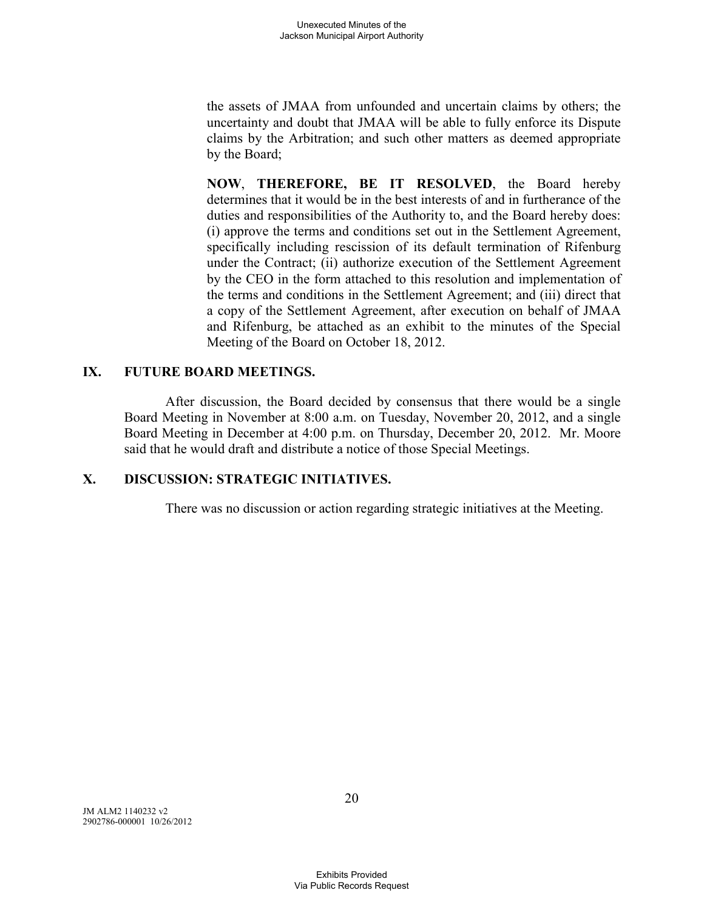the assets of JMAA from unfounded and uncertain claims by others; the uncertainty and doubt that JMAA will be able to fully enforce its Dispute claims by the Arbitration; and such other matters as deemed appropriate by the Board;

**NOW**, **THEREFORE, BE IT RESOLVED**, the Board hereby determines that it would be in the best interests of and in furtherance of the duties and responsibilities of the Authority to, and the Board hereby does: (i) approve the terms and conditions set out in the Settlement Agreement, specifically including rescission of its default termination of Rifenburg under the Contract; (ii) authorize execution of the Settlement Agreement by the CEO in the form attached to this resolution and implementation of the terms and conditions in the Settlement Agreement; and (iii) direct that a copy of the Settlement Agreement, after execution on behalf of JMAA and Rifenburg, be attached as an exhibit to the minutes of the Special Meeting of the Board on October 18, 2012.

### **IX. FUTURE BOARD MEETINGS.**

After discussion, the Board decided by consensus that there would be a single Board Meeting in November at 8:00 a.m. on Tuesday, November 20, 2012, and a single Board Meeting in December at 4:00 p.m. on Thursday, December 20, 2012. Mr. Moore said that he would draft and distribute a notice of those Special Meetings.

### **X. DISCUSSION: STRATEGIC INITIATIVES.**

There was no discussion or action regarding strategic initiatives at the Meeting.